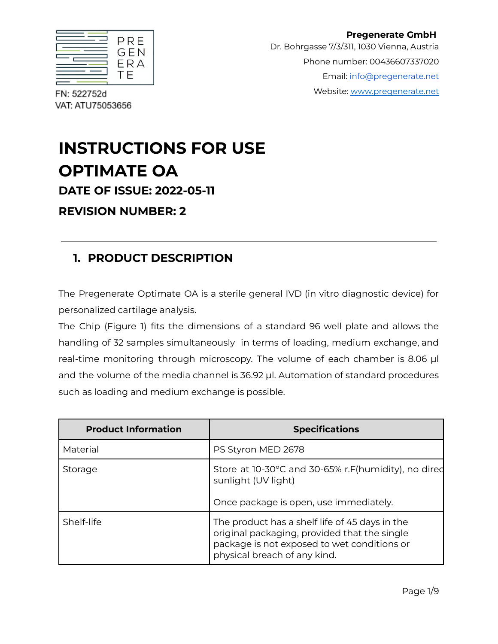| PRE |
|-----|
| GEN |
|     |
| ERA |
| -   |

**Pregenerate GmbH** Dr. Bohrgasse 7/3/311, 1030 Vienna, Austria Phone number: 00436607337020 Email: [info@pregenerate.net](mailto:info@pregenerate.net) Website: [www.pregenerate.net](http://www.pregenerate.net)

FN: 522752d VAT: ATU75053656

# **INSTRUCTIONS FOR USE OPTIMATE OA DATE OF ISSUE: 2022-05-11**

**REVISION NUMBER: 2**

# **1. PRODUCT DESCRIPTION**

The Pregenerate Optimate OA is a sterile general IVD (in vitro diagnostic device) for personalized cartilage analysis.

The Chip (Figure 1) fits the dimensions of a standard 96 well plate and allows the handling of 32 samples simultaneously in terms of loading, medium exchange, and real-time monitoring through microscopy. The volume of each chamber is 8.06 µl and the volume of the media channel is 36.92 µl. Automation of standard procedures such as loading and medium exchange is possible.

| <b>Product Information</b> | <b>Specifications</b>                                                                                                                                                         |
|----------------------------|-------------------------------------------------------------------------------------------------------------------------------------------------------------------------------|
| Material                   | PS Styron MED 2678                                                                                                                                                            |
| Storage                    | Store at 10-30°C and 30-65% r.F(humidity), no dired<br>sunlight (UV light)<br>Once package is open, use immediately.                                                          |
| Shelf-life                 | The product has a shelf life of 45 days in the<br>original packaging, provided that the single<br>package is not exposed to wet conditions or<br>physical breach of any kind. |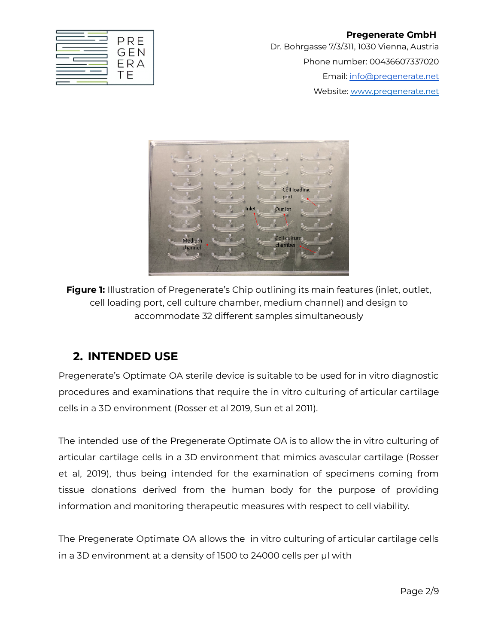**Pregenerate GmbH** Dr. Bohrgasse 7/3/311, 1030 Vienna, Austria Phone number: 00436607337020 Email: [info@pregenerate.net](mailto:info@pregenerate.net) Website: [www.pregenerate.net](http://www.pregenerate.net)



**Figure 1:** Illustration of Pregenerate's Chip outlining its main features (inlet, outlet, cell loading port, cell culture chamber, medium channel) and design to accommodate 32 different samples simultaneously

#### **2. INTENDED USE**

Pregenerate's Optimate OA sterile device is suitable to be used for in vitro diagnostic procedures and examinations that require the in vitro culturing of articular cartilage cells in a 3D environment (Rosser et al 2019, Sun et al 2011).

The intended use of the Pregenerate Optimate OA is to allow the in vitro culturing of articular cartilage cells in a 3D environment that mimics avascular cartilage (Rosser et al, 2019), thus being intended for the examination of specimens coming from tissue donations derived from the human body for the purpose of providing information and monitoring therapeutic measures with respect to cell viability.

The Pregenerate Optimate OA allows the in vitro culturing of articular cartilage cells in a 3D environment at a density of 1500 to 24000 cells per µl with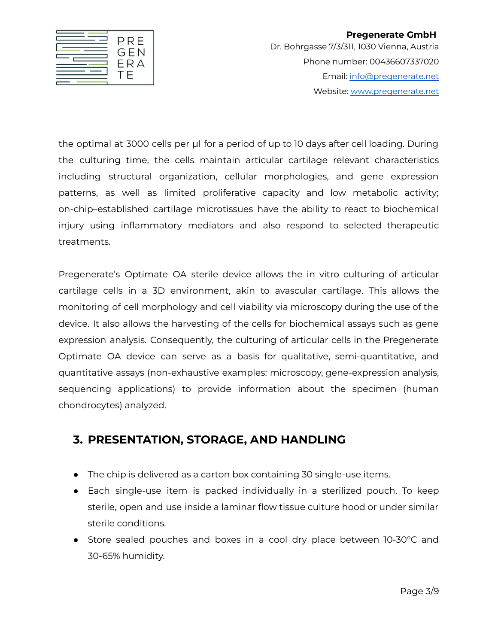

#### **Pregenerate GmbH** Dr. Bohrgasse 7/3/311, 1030 Vienna, Austria Phone number: 00436607337020 Email: [info@pregenerate.net](mailto:info@pregenerate.net) Website: [www.pregenerate.net](http://www.pregenerate.net)

the optimal at 3000 cells per ul for a period of up to 10 days after cell loading. During the culturing time, the cells maintain articular cartilage relevant characteristics including structural organization, cellular morphologies, and gene expression patterns, as well as limited proliferative capacity and low metabolic activity; on-chip–established cartilage microtissues have the ability to react to biochemical injury using inflammatory mediators and also respond to selected therapeutic treatments.

Pregenerate's Optimate OA sterile device allows the in vitro culturing of articular cartilage cells in a 3D environment, akin to avascular cartilage. This allows the monitoring of cell morphology and cell viability via microscopy during the use of the device. It also allows the harvesting of the cells for biochemical assays such as gene expression analysis. Consequently, the culturing of articular cells in the Pregenerate Optimate OA device can serve as a basis for qualitative, semi-quantitative, and quantitative assays (non-exhaustive examples: microscopy, gene-expression analysis, sequencing applications) to provide information about the specimen (human chondrocytes) analyzed.

## **3. PRESENTATION, STORAGE, AND HANDLING**

- The chip is delivered as a carton box containing 30 single-use items.
- Each single-use item is packed individually in a sterilized pouch. To keep sterile, open and use inside a laminar flow tissue culture hood or under similar sterile conditions.
- Store sealed pouches and boxes in a cool dry place between 10-30°C and 30-65% humidity.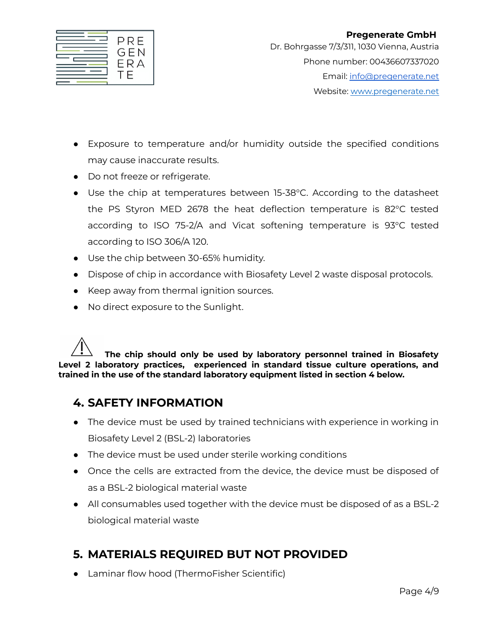|  | PRE<br>GEN<br>ЕRА |
|--|-------------------|
|--|-------------------|

- Exposure to temperature and/or humidity outside the specified conditions may cause inaccurate results.
- Do not freeze or refrigerate.
- Use the chip at temperatures between 15-38°C. According to the datasheet the PS Styron MED 2678 the heat deflection temperature is 82°C tested according to ISO 75-2/A and Vicat softening temperature is 93°C tested according to ISO 306/A 120.
- Use the chip between 30-65% humidity.
- Dispose of chip in accordance with Biosafety Level 2 waste disposal protocols.
- Keep away from thermal ignition sources.
- No direct exposure to the Sunlight.

**The chip should only be used by laboratory personnel trained in Biosafety Level 2 laboratory practices, experienced in standard tissue culture operations, and trained in the use of the standard laboratory equipment listed in section 4 below.**

#### **4. SAFETY INFORMATION**

- The device must be used by trained technicians with experience in working in Biosafety Level 2 (BSL-2) laboratories
- The device must be used under sterile working conditions
- Once the cells are extracted from the device, the device must be disposed of as a BSL-2 biological material waste
- All consumables used together with the device must be disposed of as a BSL-2 biological material waste

## **5. MATERIALS REQUIRED BUT NOT PROVIDED**

● Laminar flow hood (ThermoFisher Scientific)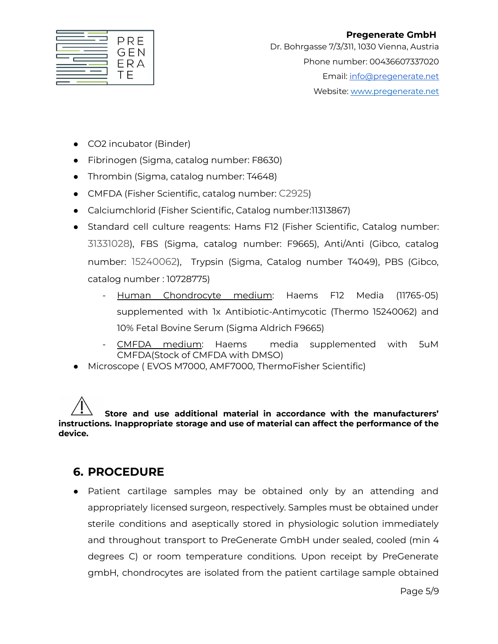|  | PRE<br>GEN<br>ERA<br>Ξ |
|--|------------------------|
|--|------------------------|

- CO2 incubator (Binder)
- Fibrinogen (Sigma, catalog number: F8630)
- Thrombin (Sigma, catalog number: T4648)
- CMFDA (Fisher Scientific, catalog number: C2925)
- Calciumchlorid (Fisher Scientific, Catalog number:11313867)
- Standard cell culture reagents: Hams F12 (Fisher Scientific, Catalog number: 31331028), FBS (Sigma, catalog number: F9665), Anti/Anti (Gibco, catalog number: 15240062), Trypsin (Sigma, Catalog number T4049), PBS (Gibco, catalog number : 10728775)
	- Human Chondrocyte medium: Haems F12 Media (11765-05) supplemented with 1x Antibiotic-Antimycotic (Thermo 15240062) and 10% Fetal Bovine Serum (Sigma Aldrich F9665)
	- CMFDA medium: Haems media supplemented with 5uM CMFDA(Stock of CMFDA with DMSO)
- Microscope ( EVOS M7000, AMF7000, ThermoFisher Scientific)

**Store and use additional material in accordance with the manufacturers' instructions. Inappropriate storage and use of material can affect the performance of the device.**

#### **6. PROCEDURE**

● Patient cartilage samples may be obtained only by an attending and appropriately licensed surgeon, respectively. Samples must be obtained under sterile conditions and aseptically stored in physiologic solution immediately and throughout transport to PreGenerate GmbH under sealed, cooled (min 4 degrees C) or room temperature conditions. Upon receipt by PreGenerate gmbH, chondrocytes are isolated from the patient cartilage sample obtained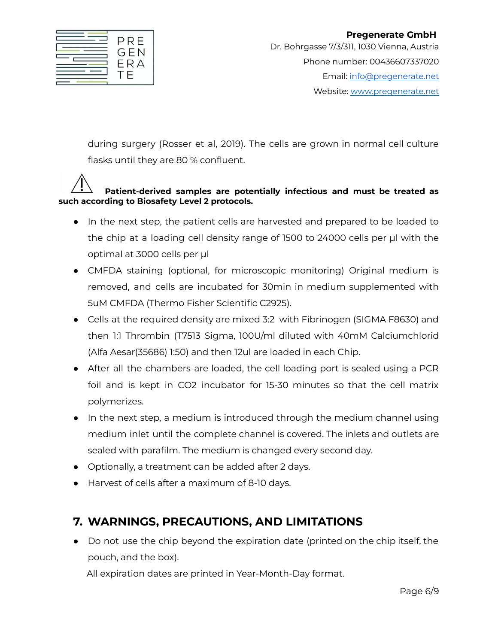

during surgery (Rosser et al, 2019). The cells are grown in normal cell culture flasks until they are 80 % confluent.

#### **Patient-derived samples are potentially infectious and must be treated as such according to Biosafety Level 2 protocols.**

- In the next step, the patient cells are harvested and prepared to be loaded to the chip at a loading cell density range of 1500 to 24000 cells per µl with the optimal at 3000 cells per µl
- CMFDA staining (optional, for microscopic monitoring) Original medium is removed, and cells are incubated for 30min in medium supplemented with 5uM CMFDA (Thermo Fisher Scientific C2925).
- Cells at the required density are mixed 3:2 with Fibrinogen (SIGMA F8630) and then 1:1 Thrombin (T7513 Sigma, 100U/ml diluted with 40mM Calciumchlorid (Alfa Aesar(35686) 1:50) and then 12ul are loaded in each Chip.
- After all the chambers are loaded, the cell loading port is sealed using a PCR foil and is kept in CO2 incubator for 15-30 minutes so that the cell matrix polymerizes.
- In the next step, a medium is introduced through the medium channel using medium inlet until the complete channel is covered. The inlets and outlets are sealed with parafilm. The medium is changed every second day.
- Optionally, a treatment can be added after 2 days.
- Harvest of cells after a maximum of 8-10 days.

# **7. WARNINGS, PRECAUTIONS, AND LIMITATIONS**

● Do not use the chip beyond the expiration date (printed on the chip itself, the pouch, and the box).

All expiration dates are printed in Year-Month-Day format.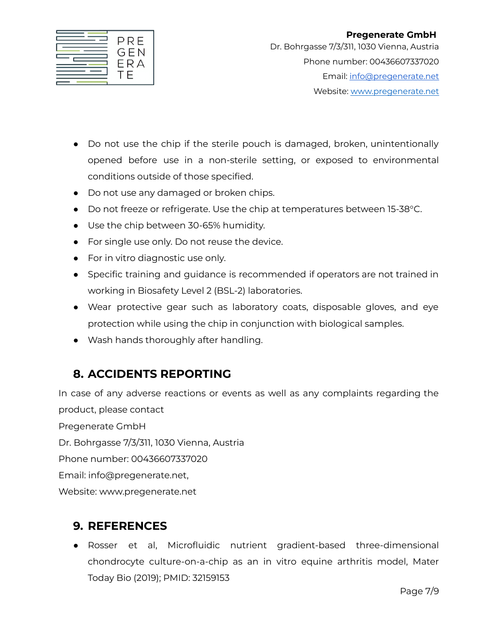|--|

- Do not use the chip if the sterile pouch is damaged, broken, unintentionally opened before use in a non-sterile setting, or exposed to environmental conditions outside of those specified.
- Do not use any damaged or broken chips.
- Do not freeze or refrigerate. Use the chip at temperatures between 15-38 °C.
- Use the chip between 30-65% humidity.
- For single use only. Do not reuse the device.
- For in vitro diagnostic use only.
- Specific training and guidance is recommended if operators are not trained in working in Biosafety Level 2 (BSL-2) laboratories.
- Wear protective gear such as laboratory coats, disposable gloves, and eye protection while using the chip in conjunction with biological samples.
- Wash hands thoroughly after handling.

# **8. ACCIDENTS REPORTING**

In case of any adverse reactions or events as well as any complaints regarding the product, please contact Pregenerate GmbH Dr. Bohrgasse 7/3/311, 1030 Vienna, Austria Phone number: 00436607337020 Email: info@pregenerate.net, Website: www.pregenerate.net

## **9. REFERENCES**

● Rosser et al, Microfluidic nutrient gradient-based three-dimensional chondrocyte culture-on-a-chip as an in vitro equine arthritis model, Mater Today Bio (2019); PMID: 32159153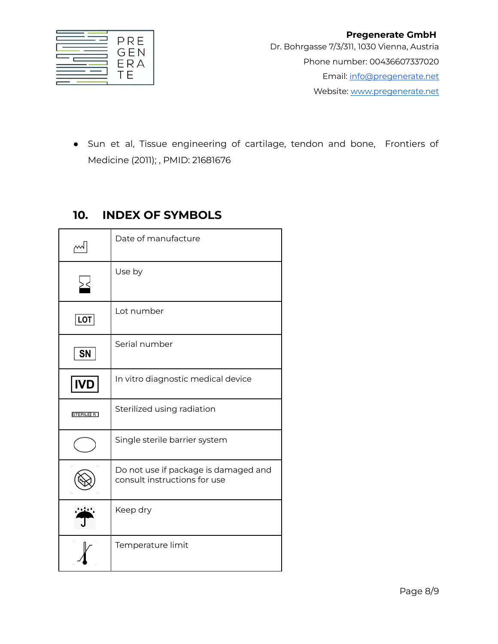

● Sun et al, Tissue engineering of cartilage, tendon and bone, Frontiers of Medicine (2011); , PMID: 21681676

#### **10. INDEX OF SYMBOLS**

| اسم              | Date of manufacture                                                  |
|------------------|----------------------------------------------------------------------|
| ⊻                | Use by                                                               |
| LOT              | Lot number                                                           |
| <b>SN</b>        | Serial number                                                        |
| <b>IVD</b>       | In vitro diagnostic medical device                                   |
| <b>STERILE R</b> | Sterilized using radiation                                           |
|                  | Single sterile barrier system                                        |
|                  | Do not use if package is damaged and<br>consult instructions for use |
|                  | Keep dry                                                             |
|                  | Temperature limit                                                    |